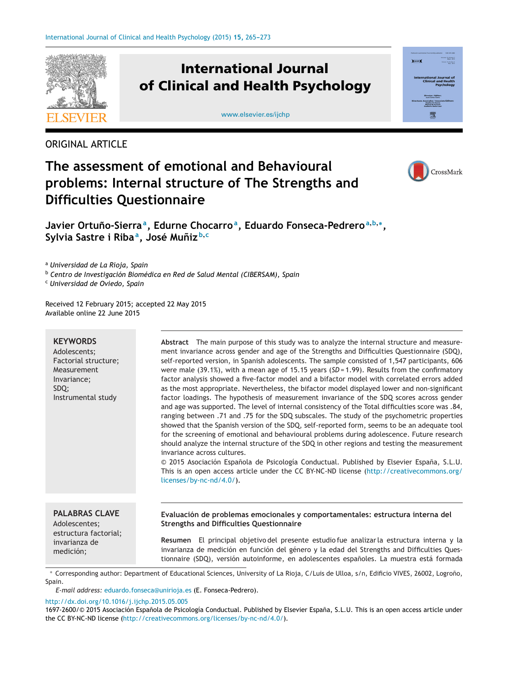

ORIGINAL ARTICLE

## CrossMark

## **The assessment of emotional and Behavioural problems: Internal structure of The Strengths and Difficulties Questionnaire**

**Javier Ortuno-Sierra ˜ a, Edurne Chocarroa, Eduardo Fonseca-Pedrero<sup>a</sup>,b,∗, Sylvia Sastre i Ribaa, José Muniz ˜ <sup>b</sup>,<sup>c</sup>**

<sup>a</sup> *Universidad de La Rioja, Spain*

<sup>b</sup> *Centro de Investigación Biomédica en Red de Salud Mental (CIBERSAM), Spain*

<sup>c</sup> *Universidad de Oviedo, Spain*

Received 12 February 2015; accepted 22 May 2015 Available online 22 June 2015

## **KEYWORDS** Adolescents; Factorial structure; Measurement Invariance; SDQ; Instrumental study **Abstract** The main purpose of this study was to analyze the internal structure and measurement invariance across gender and age of the Strengths and Difficulties Questionnaire (SDQ), self-reported version, in Spanish adolescents. The sample consisted of 1,547 participants, 606 were male (39.1%), with a mean age of 15.15 years (SD = 1.99). Results from the confirmatory factor analysis showed a five-factor model and a bifactor model with correlated errors added as the most appropriate. Nevertheless, the bifactor model displayed lower and non-significant factor loadings. The hypothesis of measurement invariance of the SDQ scores across gender and age was supported. The level of internal consistency of the Total difficulties score was .84, ranging between .71 and .75 for the SDQ subscales. The study of the psychometric properties showed that the Spanish version of the SDQ, self-reported form, seems to be an adequate tool for the screening of emotional and behavioural problems during adolescence. Future research should analyze the internal structure of the SDQ in other regions and testing the measurement invariance across cultures. © 2015 Asociación Española de Psicología Conductual. Published by Elsevier España, S.L.U. This is an open access article under the CC BY-NC-ND license ([http://creativecommons.org/](http://creativecommons.org/licenses/by-nc-nd/4.0/) [licenses/by-nc-nd/4.0/](http://creativecommons.org/licenses/by-nc-nd/4.0/)). **PALABRAS CLAVE**

Adolescentes; estructura factorial; invarianza de medición;

**Evaluación de problemas emocionales y comportamentales: estructura interna del Strengths and Difficulties Questionnaire**

**Resumen** El principal objetivo del presente estudio fue analizarla estructura interna y la invarianza de medición en función del género y la edad del Strengths and Difficulties Questionnaire (SDQ), versión autoinforme, en adolescentes españoles. La muestra está formada

Corresponding author: Department of Educational Sciences, University of La Rioja, C/Luis de Ulloa, s/n, Edificio VIVES, 26002, Logroño, Spain.

*E-mail address:* [eduardo.fonseca@unirioja.es](mailto:eduardo.fonseca@unirioja.es) (E. Fonseca-Pedrero).

[http://dx.doi.org/10.1016/j.ijchp.2015.05.005](dx.doi.org/10.1016/j.ijchp.2015.05.005)

1697-2600/© 2015 Asociación Española de Psicología Conductual. Published by Elsevier España, S.L.U. This is an open access article under the CC BY-NC-ND license ([http://creativecommons.org/licenses/by-nc-nd/4.0/\)](http://creativecommons.org/licenses/by-nc-nd/4.0/).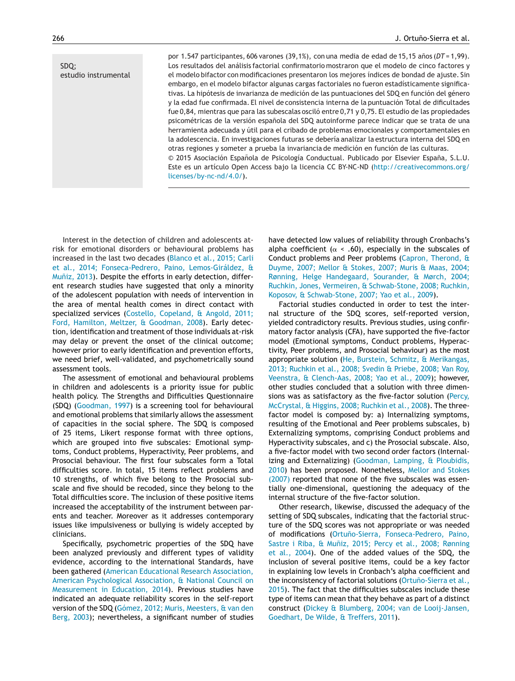SDQ; estudio instrumental

por 1.547 participantes, 606 varones (39,1%), con una media de edad de 15,15 años (DT = 1,99). Los resultados del análisis factorial confirmatorio mostraron que el modelo de cinco factores y el modelo bifactor con modificaciones presentaron los mejores índices de bondad de ajuste. Sin embargo, en el modelo bifactor algunas cargas factoriales no fueron estadísticamente significativas. La hipótesis de invarianza de medición de las puntuaciones del SDQ en función del género y la edad fue confirmada. El nivel de consistencia interna de la puntuación Total de dificultades fue 0,84, mientras que para las subescalas osciló entre 0,71 y 0,75. El estudio de las propiedades psicométricas de la versión española del SDQ autoinforme parece indicar que se trata de una herramienta adecuada y útil para el cribado de problemas emocionales y comportamentales en la adolescencia. En investigaciones futuras se debería analizar la estructura interna del SDQ en otras regiones y someter a prueba la invariancia de medición en función de las culturas. © 2015 Asociación Española de Psicología Conductual. Publicado por Elsevier España, S.L.U. Este es un artículo Open Access bajo la licencia CC BY-NC-ND [\(http://creativecommons.org/](http://creativecommons.org/licenses/by-nc-nd/4.0/)

Interest in the detection of children and adolescents atrisk for emotional disorders or behavioural problems has increased in the last two decades [\(Blanco](#page--1-0) et [al.,](#page--1-0) [2015;](#page--1-0) [Carli](#page--1-0) et [al.,](#page--1-0) [2014;](#page--1-0) [Fonseca-Pedrero,](#page--1-0) [Paino,](#page--1-0) [Lemos-Giráldez,](#page--1-0) [&](#page--1-0) Muñiz, [2013\).](#page--1-0) Despite the efforts in early detection, different research studies have suggested that only a minority of the adolescent population with needs of intervention in the area of mental health comes in direct contact with specialized services ([Costello,](#page--1-0) [Copeland,](#page--1-0) [&](#page--1-0) [Angold,](#page--1-0) [2011;](#page--1-0) [Ford,](#page--1-0) [Hamilton,](#page--1-0) [Meltzer,](#page--1-0) [&](#page--1-0) [Goodman,](#page--1-0) [2008\).](#page--1-0) Early detection, identification and treatment of those individuals at-risk may delay or prevent the onset of the clinical outcome; however prior to early identification and prevention efforts, we need brief, well-validated, and psychometrically sound assessment tools.

[licenses/by-nc-nd/4.0/\)](http://creativecommons.org/licenses/by-nc-nd/4.0/).

The assessment of emotional and behavioural problems in children and adolescents is a priority issue for public health policy. The Strengths and Difficulties Questionnaire (SDQ) ([Goodman,](#page--1-0) [1997\)](#page--1-0) is a screening tool for behavioural and emotional problems that similarly allows the assessment of capacities in the social sphere. The SDQ is composed of 25 items, Likert response format with three options, which are grouped into five subscales: Emotional symptoms, Conduct problems, Hyperactivity, Peer problems, and Prosocial behaviour. The first four subscales form a Total difficulties score. In total, 15 items reflect problems and 10 strengths, of which five belong to the Prosocial subscale and five should be recoded, since they belong to the Total difficulties score. The inclusion of these positive items increased the acceptability of the instrument between parents and teacher. Moreover as it addresses contemporary issues like impulsiveness or bullying is widely accepted by clinicians.

Specifically, psychometric properties of the SDQ have been analyzed previously and different types of validity evidence, according to the international Standards, have been gathered [\(American](#page--1-0) [Educational](#page--1-0) [Research](#page--1-0) [Association,](#page--1-0) [American](#page--1-0) [Psychological](#page--1-0) [Association,](#page--1-0) [&](#page--1-0) [National](#page--1-0) [Council](#page--1-0) [on](#page--1-0) [Measurement](#page--1-0) [in](#page--1-0) [Education,](#page--1-0) [2014\).](#page--1-0) Previous studies have indicated an adequate reliability scores in the self-report version of the SDQ ([Gómez,](#page--1-0) [2012;](#page--1-0) [Muris,](#page--1-0) [Meesters,](#page--1-0) [&](#page--1-0) [van](#page--1-0) [den](#page--1-0) [Berg,](#page--1-0) [2003\);](#page--1-0) nevertheless, a significant number of studies have detected low values of reliability through Cronbachs's alpha coefficient ( $\alpha$  < .60), especially in the subscales of Conduct problems and Peer problems [\(Capron,](#page--1-0) [Therond,](#page--1-0) [&](#page--1-0) [Duyme,](#page--1-0) [2007;](#page--1-0) [Mellor](#page--1-0) [&](#page--1-0) [Stokes,](#page--1-0) [2007;](#page--1-0) [Muris](#page--1-0) [&](#page--1-0) [Maas,](#page--1-0) [2004;](#page--1-0) [Rønning,](#page--1-0) [Helge](#page--1-0) [Handegaard,](#page--1-0) [Sourander,](#page--1-0) [&](#page--1-0) [Mørch,](#page--1-0) [2004;](#page--1-0) [Ruchkin,](#page--1-0) [Jones,](#page--1-0) [Vermeiren,](#page--1-0) [&](#page--1-0) [Schwab-Stone,](#page--1-0) [2008;](#page--1-0) [Ruchkin,](#page--1-0) [Koposov,](#page--1-0) [&](#page--1-0) [Schwab-Stone,](#page--1-0) [2007;](#page--1-0) [Yao](#page--1-0) et [al.,](#page--1-0) [2009\).](#page--1-0)

Factorial studies conducted in order to test the internal structure of the SDQ scores, self-reported version, yielded contradictory results. Previous studies, using confirmatory factor analysis (CFA), have supported the five-factor model (Emotional symptoms, Conduct problems, Hyperactivity, Peer problems, and Prosocial behaviour) as the most appropriate solution [\(He,](#page--1-0) [Burstein,](#page--1-0) [Schmitz,](#page--1-0) [&](#page--1-0) [Merikangas,](#page--1-0) [2013;](#page--1-0) [Ruchkin](#page--1-0) et [al.,](#page--1-0) [2008;](#page--1-0) [Svedin](#page--1-0) [&](#page--1-0) [Priebe,](#page--1-0) [2008;](#page--1-0) [Van](#page--1-0) [Roy,](#page--1-0) [Veenstra,](#page--1-0) [&](#page--1-0) [Clench-Aas,](#page--1-0) [2008;](#page--1-0) [Yao](#page--1-0) et [al.,](#page--1-0) [2009\);](#page--1-0) however, other studies concluded that a solution with three dimensions was as satisfactory as the five-factor solution [\(Percy,](#page--1-0) [McCrystal,](#page--1-0) [&](#page--1-0) [Higgins,](#page--1-0) [2008;](#page--1-0) [Ruchkin](#page--1-0) et [al.,](#page--1-0) [2008\).](#page--1-0) The threefactor model is composed by: a) Internalizing symptoms, resulting of the Emotional and Peer problems subscales, b) Externalizing symptoms, comprising Conduct problems and Hyperactivity subscales, and c) the Prosocial subscale. Also, a five-factor model with two second order factors (Internalizing and Externalizing) ([Goodman,](#page--1-0) [Lamping,](#page--1-0) [&](#page--1-0) [Ploubidis,](#page--1-0) [2010\)](#page--1-0) has been proposed. Nonetheless, [Mellor](#page--1-0) [and](#page--1-0) [Stokes](#page--1-0) [\(2007\)](#page--1-0) reported that none of the five subscales was essentially one-dimensional, questioning the adequacy of the internal structure of the five-factor solution.

Other research, likewise, discussed the adequacy of the setting of SDQ subscales, indicating that the factorial structure of the SDQ scores was not appropriate or was needed of modifications (Ortuño-Sierra, [Fonseca-Pedrero,](#page--1-0) [Paino,](#page--1-0) [Sastre](#page--1-0) [i](#page--1-0) [Riba,](#page--1-0) [&](#page--1-0) Muñiz, [2015;](#page--1-0) [Percy](#page--1-0) et [al.,](#page--1-0) [2008;](#page--1-0) [Rønning](#page--1-0) et [al.,](#page--1-0) [2004\).](#page--1-0) One of the added values of the SDQ, the inclusion of several positive items, could be a key factor in explaining low levels in Cronbach's alpha coefficient and the inconsistency of factorial solutions (Ortuño-Sierra et [al.,](#page--1-0) [2015\).](#page--1-0) The fact that the difficulties subscales include these type of items can mean that they behave as part of a distinct construct [\(Dickey](#page--1-0) [&](#page--1-0) [Blumberg,](#page--1-0) [2004;](#page--1-0) [van](#page--1-0) [de](#page--1-0) [Looij-Jansen,](#page--1-0) [Goedhart,](#page--1-0) [De](#page--1-0) [Wilde,](#page--1-0) [&](#page--1-0) [Treffers,](#page--1-0) [2011\).](#page--1-0)